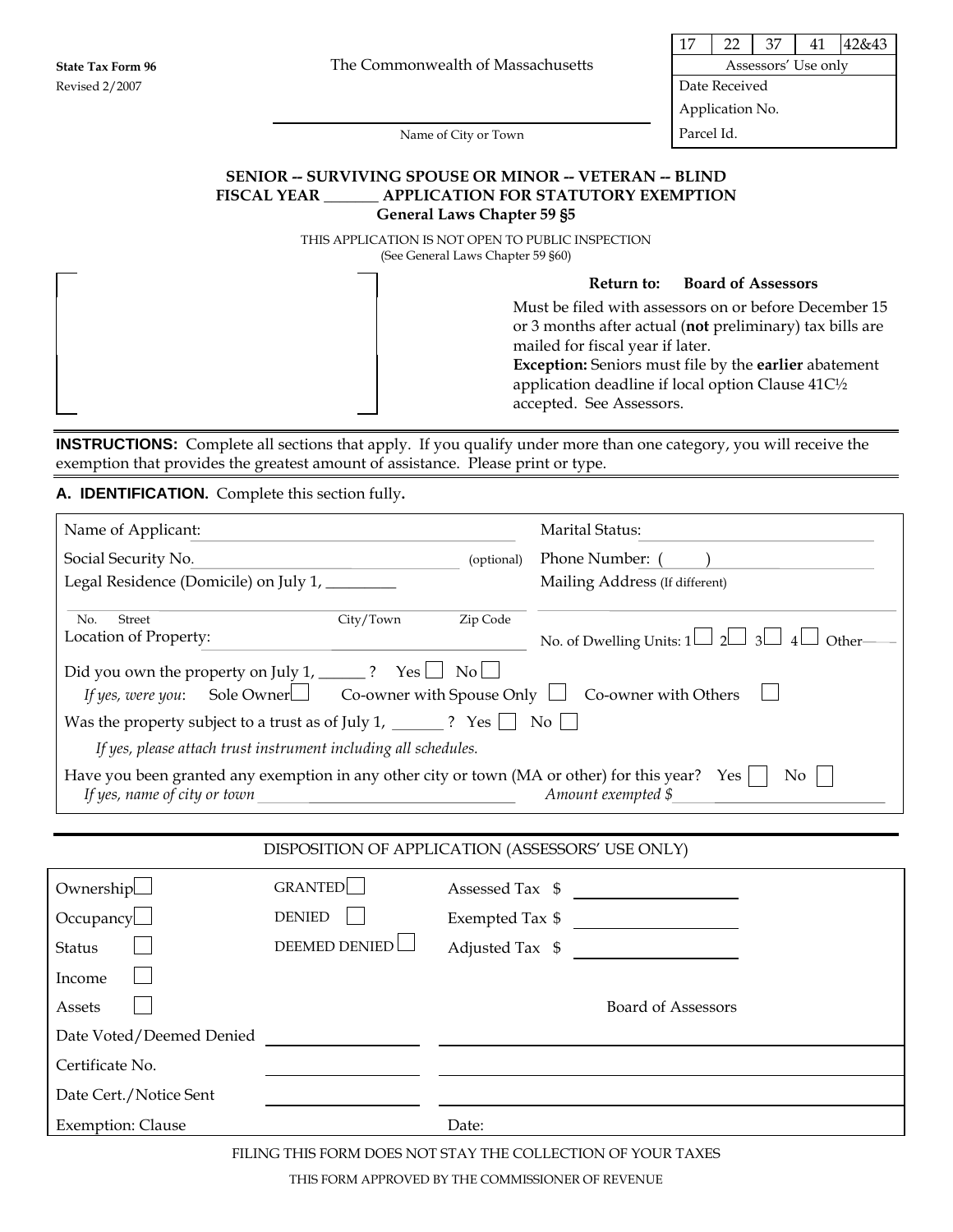17 22 37 41 42&43

Application No.

Name of City or Town Parcel Id.

### **SENIOR -- SURVIVING SPOUSE OR MINOR -- VETERAN -- BLIND FISCAL YEAR \_\_\_\_\_\_\_ APPLICATION FOR STATUTORY EXEMPTION General Laws Chapter 59 §5**

THIS APPLICATION IS NOT OPEN TO PUBLIC INSPECTION (See General Laws Chapter 59 §60)

### **Return to: Board of Assessors**

Must be filed with assessors on or before December 15 or 3 months after actual (**not** preliminary) tax bills are mailed for fiscal year if later.

**Exception:** Seniors must file by the **earlier** abatement application deadline if local option Clause 41C½ accepted. See Assessors.

**INSTRUCTIONS:** Complete all sections that apply. If you qualify under more than one category, you will receive the exemption that provides the greatest amount of assistance. Please print or type.

## **A. IDENTIFICATION.** Complete this section fully**.**

| Name of Applicant:                                                                                                                                                                                                                                                                                                                                                                                                                                                                                                                                                                                 | <u> 1980 - Johann Barbara, martin a</u>          |            | Marital Status:                |  |
|----------------------------------------------------------------------------------------------------------------------------------------------------------------------------------------------------------------------------------------------------------------------------------------------------------------------------------------------------------------------------------------------------------------------------------------------------------------------------------------------------------------------------------------------------------------------------------------------------|--------------------------------------------------|------------|--------------------------------|--|
| Social Security No.                                                                                                                                                                                                                                                                                                                                                                                                                                                                                                                                                                                |                                                  | (optional) | Phone Number: ( )              |  |
| Legal Residence (Domicile) on July 1, ________                                                                                                                                                                                                                                                                                                                                                                                                                                                                                                                                                     |                                                  |            | Mailing Address (If different) |  |
| Street<br>City/Town<br>Zip Code<br>No.<br>Location of Property:<br>No. of Dwelling Units: $1 \Box 2 \Box 3 \Box 4$<br>Other-<br>Did you own the property on July 1, _______? Yes $\Box$ No $\Box$<br>Sole Owner $\Box$ Co-owner with Spouse Only $\Box$ Co-owner with Others<br>If yes, were you:<br>Was the property subject to a trust as of July 1, ________? Yes $\Box$ No $\Box$<br>If yes, please attach trust instrument including all schedules.<br>Have you been granted any exemption in any other city or town (MA or other) for this year? Yes<br>N <sub>o</sub><br>Amount exempted \$ |                                                  |            |                                |  |
|                                                                                                                                                                                                                                                                                                                                                                                                                                                                                                                                                                                                    | DISPOSITION OF APPLICATION (ASSESSORS' USE ONLY) |            |                                |  |
|                                                                                                                                                                                                                                                                                                                                                                                                                                                                                                                                                                                                    |                                                  |            |                                |  |
| Ownership                                                                                                                                                                                                                                                                                                                                                                                                                                                                                                                                                                                          | <b>GRANTED</b>                                   |            | Assessed Tax \$                |  |
| Occupancy                                                                                                                                                                                                                                                                                                                                                                                                                                                                                                                                                                                          | <b>DENIED</b>                                    |            |                                |  |
| Status                                                                                                                                                                                                                                                                                                                                                                                                                                                                                                                                                                                             | <b>DEEMED DENIED</b>                             |            | Adjusted Tax \$                |  |
| Income                                                                                                                                                                                                                                                                                                                                                                                                                                                                                                                                                                                             |                                                  |            |                                |  |
| Assets                                                                                                                                                                                                                                                                                                                                                                                                                                                                                                                                                                                             |                                                  |            | <b>Board of Assessors</b>      |  |
| Date Voted/Deemed Denied                                                                                                                                                                                                                                                                                                                                                                                                                                                                                                                                                                           |                                                  |            |                                |  |
| Certificate No.                                                                                                                                                                                                                                                                                                                                                                                                                                                                                                                                                                                    |                                                  |            |                                |  |
| Date Cert./Notice Sent                                                                                                                                                                                                                                                                                                                                                                                                                                                                                                                                                                             |                                                  |            |                                |  |
| <b>Exemption: Clause</b>                                                                                                                                                                                                                                                                                                                                                                                                                                                                                                                                                                           |                                                  | Date:      |                                |  |

FILING THIS FORM DOES NOT STAY THE COLLECTION OF YOUR TAXES

THIS FORM APPROVED BY THE COMMISSIONER OF REVENUE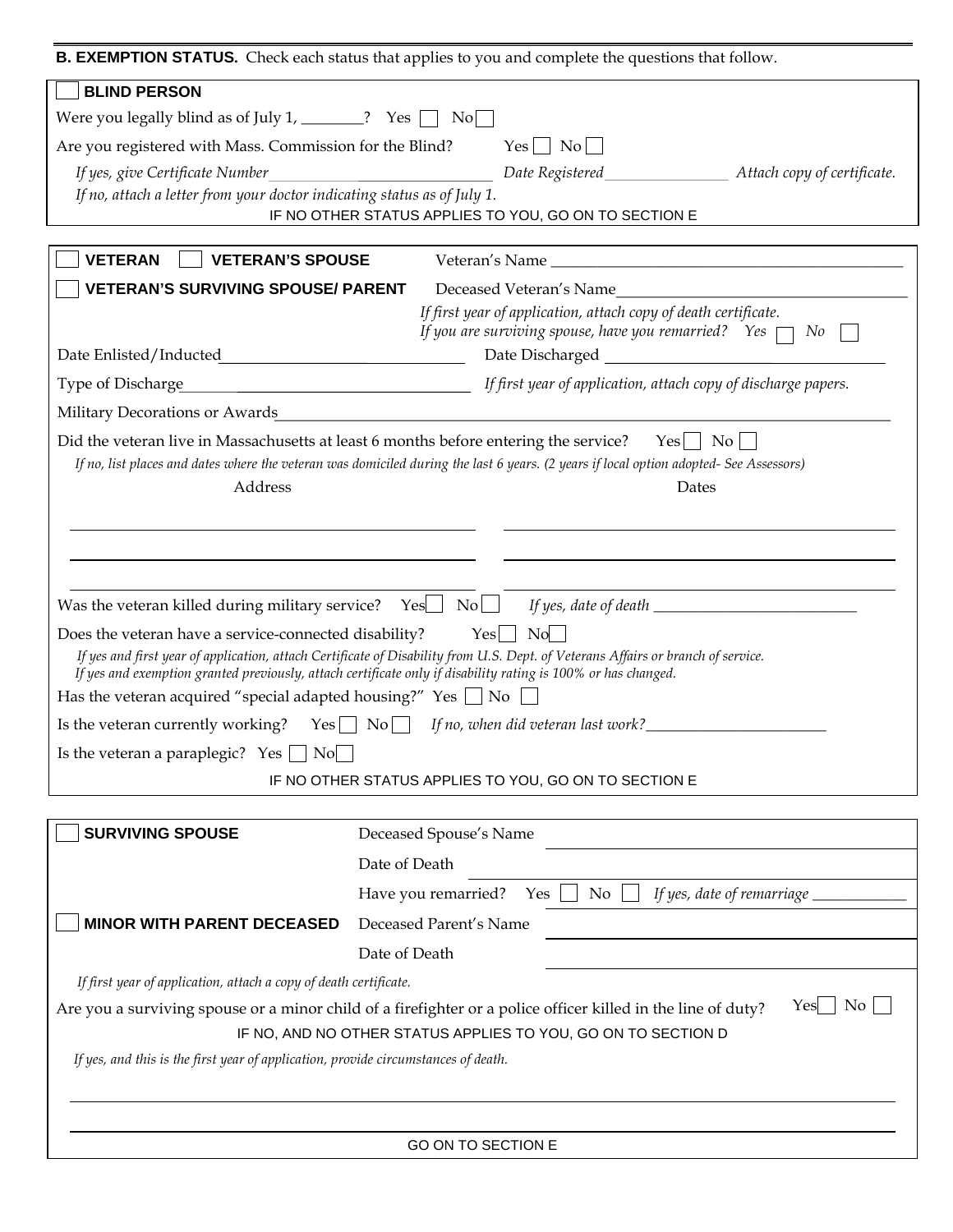| B. EXEMPTION STATUS. Check each status that applies to you and complete the questions that follow.                                                                                                                                                                                                         |                        |                                                                                                                                   |                                                                       |  |  |
|------------------------------------------------------------------------------------------------------------------------------------------------------------------------------------------------------------------------------------------------------------------------------------------------------------|------------------------|-----------------------------------------------------------------------------------------------------------------------------------|-----------------------------------------------------------------------|--|--|
| <b>BLIND PERSON</b>                                                                                                                                                                                                                                                                                        |                        |                                                                                                                                   |                                                                       |  |  |
| Were you legally blind as of July 1, ________? Yes $\Box$ No                                                                                                                                                                                                                                               |                        |                                                                                                                                   |                                                                       |  |  |
| $Yes \mid No \mid$<br>Are you registered with Mass. Commission for the Blind?                                                                                                                                                                                                                              |                        |                                                                                                                                   |                                                                       |  |  |
| If yes, give Certificate Number                                                                                                                                                                                                                                                                            |                        |                                                                                                                                   |                                                                       |  |  |
| If no, attach a letter from your doctor indicating status as of July 1.                                                                                                                                                                                                                                    |                        |                                                                                                                                   |                                                                       |  |  |
|                                                                                                                                                                                                                                                                                                            |                        | IF NO OTHER STATUS APPLIES TO YOU, GO ON TO SECTION E                                                                             |                                                                       |  |  |
| <b>VETERAN</b><br><b>VETERAN'S SPOUSE</b>                                                                                                                                                                                                                                                                  |                        |                                                                                                                                   |                                                                       |  |  |
| <b>VETERAN'S SURVIVING SPOUSE/ PARENT</b>                                                                                                                                                                                                                                                                  |                        |                                                                                                                                   | Deceased Veteran's Name                                               |  |  |
|                                                                                                                                                                                                                                                                                                            |                        | If first year of application, attach copy of death certificate.<br>If you are surviving spouse, have you remarried? Yes $\Box$ No |                                                                       |  |  |
|                                                                                                                                                                                                                                                                                                            |                        |                                                                                                                                   |                                                                       |  |  |
| Type of Discharge                                                                                                                                                                                                                                                                                          |                        |                                                                                                                                   | <i>If first year of application, attach copy of discharge papers.</i> |  |  |
| Military Decorations or Awards                                                                                                                                                                                                                                                                             |                        |                                                                                                                                   |                                                                       |  |  |
| Did the veteran live in Massachusetts at least 6 months before entering the service?<br>If no, list places and dates where the veteran was domiciled during the last 6 years. (2 years if local option adopted- See Assessors)<br>Address                                                                  |                        |                                                                                                                                   | $Yes \mid No \mid$<br>Dates                                           |  |  |
| Was the veteran killed during military service? Yes $\bigcup$ No $\bigcup$ If yes, date of death $\bigcup$                                                                                                                                                                                                 |                        |                                                                                                                                   |                                                                       |  |  |
| Does the veteran have a service-connected disability?<br>If yes and first year of application, attach Certificate of Disability from U.S. Dept. of Veterans Affairs or branch of service.<br>If yes and exemption granted previously, attach certificate only if disability rating is 100% or has changed. |                        | $Yes \mid No \mid$                                                                                                                |                                                                       |  |  |
| Has the veteran acquired "special adapted housing?" Yes $\Box$ No $\Box$                                                                                                                                                                                                                                   |                        |                                                                                                                                   |                                                                       |  |  |
| Is the veteran currently working? $Yes \cup No$<br>If no, when did veteran last work?<br><u>If</u> no, when did veteran last work?                                                                                                                                                                         |                        |                                                                                                                                   |                                                                       |  |  |
| Is the veteran a paraplegic? Yes $\Box$ No $\Box$                                                                                                                                                                                                                                                          |                        |                                                                                                                                   |                                                                       |  |  |
| IF NO OTHER STATUS APPLIES TO YOU, GO ON TO SECTION E                                                                                                                                                                                                                                                      |                        |                                                                                                                                   |                                                                       |  |  |
|                                                                                                                                                                                                                                                                                                            |                        |                                                                                                                                   |                                                                       |  |  |
| <b>SURVIVING SPOUSE</b>                                                                                                                                                                                                                                                                                    | Deceased Spouse's Name |                                                                                                                                   |                                                                       |  |  |
|                                                                                                                                                                                                                                                                                                            | Date of Death          |                                                                                                                                   |                                                                       |  |  |
|                                                                                                                                                                                                                                                                                                            | Have you remarried?    | No<br>Yes                                                                                                                         | If yes, date of remarriage $\_$                                       |  |  |
| <b>MINOR WITH PARENT DECEASED</b>                                                                                                                                                                                                                                                                          | Deceased Parent's Name |                                                                                                                                   |                                                                       |  |  |
|                                                                                                                                                                                                                                                                                                            | Date of Death          |                                                                                                                                   |                                                                       |  |  |
| If first year of application, attach a copy of death certificate.                                                                                                                                                                                                                                          |                        |                                                                                                                                   |                                                                       |  |  |
| $\overline{N_{0}}$<br>Yes<br>Are you a surviving spouse or a minor child of a firefighter or a police officer killed in the line of duty?                                                                                                                                                                  |                        |                                                                                                                                   |                                                                       |  |  |
| IF NO, AND NO OTHER STATUS APPLIES TO YOU, GO ON TO SECTION D                                                                                                                                                                                                                                              |                        |                                                                                                                                   |                                                                       |  |  |
| If yes, and this is the first year of application, provide circumstances of death.                                                                                                                                                                                                                         |                        |                                                                                                                                   |                                                                       |  |  |

GO ON TO SECTION E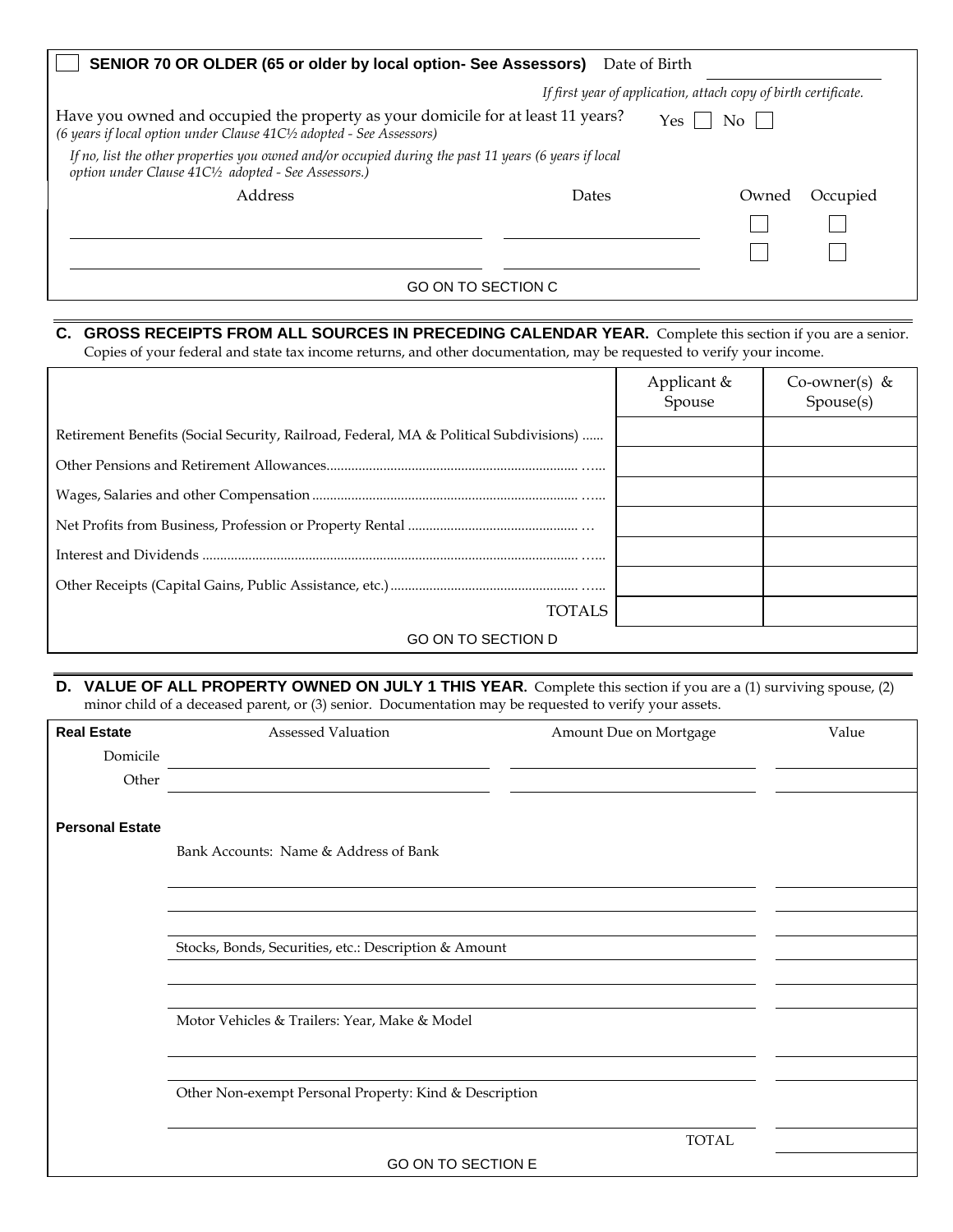| SENIOR 70 OR OLDER (65 or older by local option- See Assessors)                                                                                               | Date of Birth |                                |  |  |
|---------------------------------------------------------------------------------------------------------------------------------------------------------------|---------------|--------------------------------|--|--|
| If first year of application, attach copy of birth certificate.                                                                                               |               |                                |  |  |
| Have you owned and occupied the property as your domicile for at least 11 years?<br>(6 years if local option under Clause 41C1/2 adopted - See Assessors)     |               | $\overline{N\sigma}$  <br>Yes. |  |  |
| If no, list the other properties you owned and/or occupied during the past 11 years (6 years if local<br>option under Clause 41C1/2 adopted - See Assessors.) |               |                                |  |  |
| Address                                                                                                                                                       | Dates         | Occupied<br>Owned              |  |  |
|                                                                                                                                                               |               |                                |  |  |
|                                                                                                                                                               |               |                                |  |  |
| GO ON TO SECTION C                                                                                                                                            |               |                                |  |  |

# **C. GROSS RECEIPTS FROM ALL SOURCES IN PRECEDING CALENDAR YEAR.** Complete this section if you are a senior.

Copies of your federal and state tax income returns, and other documentation, may be requested to verify your income.

|                                                                                       | Applicant &<br>Spouse | Co-owner(s) &<br>Spouse(s) |
|---------------------------------------------------------------------------------------|-----------------------|----------------------------|
| Retirement Benefits (Social Security, Railroad, Federal, MA & Political Subdivisions) |                       |                            |
|                                                                                       |                       |                            |
|                                                                                       |                       |                            |
|                                                                                       |                       |                            |
|                                                                                       |                       |                            |
|                                                                                       |                       |                            |
| <b>TOTALS</b>                                                                         |                       |                            |
| <b>GO ON TO SECTION D</b>                                                             |                       |                            |

**D. VALUE OF ALL PROPERTY OWNED ON JULY 1 THIS YEAR.** Complete this section if you are a (1) surviving spouse, (2) minor child of a deceased parent, or (3) senior. Documentation may be requested to verify your assets.

| <b>Real Estate</b>     | <b>Assessed Valuation</b>                              | Amount Due on Mortgage | Value |
|------------------------|--------------------------------------------------------|------------------------|-------|
| Domicile               |                                                        |                        |       |
| Other                  |                                                        |                        |       |
|                        |                                                        |                        |       |
| <b>Personal Estate</b> |                                                        |                        |       |
|                        | Bank Accounts: Name & Address of Bank                  |                        |       |
|                        |                                                        |                        |       |
|                        |                                                        |                        |       |
|                        |                                                        |                        |       |
|                        | Stocks, Bonds, Securities, etc.: Description & Amount  |                        |       |
|                        |                                                        |                        |       |
|                        |                                                        |                        |       |
|                        | Motor Vehicles & Trailers: Year, Make & Model          |                        |       |
|                        |                                                        |                        |       |
|                        |                                                        |                        |       |
|                        | Other Non-exempt Personal Property: Kind & Description |                        |       |
|                        |                                                        |                        |       |
|                        |                                                        | <b>TOTAL</b>           |       |
|                        | GO ON TO SECTION E                                     |                        |       |